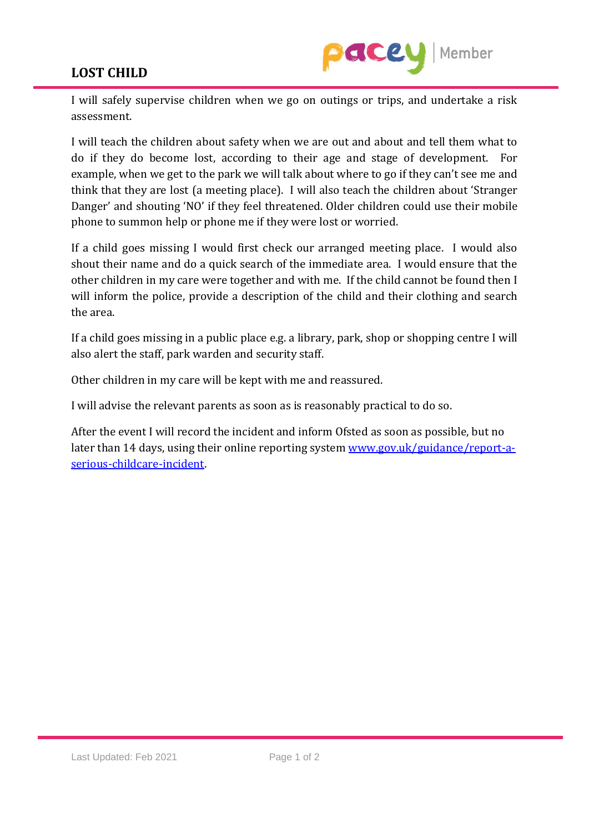## **LOST CHILD**



I will safely supervise children when we go on outings or trips, and undertake a risk assessment.

I will teach the children about safety when we are out and about and tell them what to do if they do become lost, according to their age and stage of development. For example, when we get to the park we will talk about where to go if they can't see me and think that they are lost (a meeting place). I will also teach the children about 'Stranger Danger' and shouting 'NO' if they feel threatened. Older children could use their mobile phone to summon help or phone me if they were lost or worried.

If a child goes missing I would first check our arranged meeting place. I would also shout their name and do a quick search of the immediate area. I would ensure that the other children in my care were together and with me. If the child cannot be found then I will inform the police, provide a description of the child and their clothing and search the area.

If a child goes missing in a public place e.g. a library, park, shop or shopping centre I will also alert the staff, park warden and security staff.

Other children in my care will be kept with me and reassured.

I will advise the relevant parents as soon as is reasonably practical to do so.

After the event I will record the incident and inform Ofsted as soon as possible, but no later than 14 days, using their online reporting system [www.gov.uk/guidance/report-a](http://www.gov.uk/guidance/report-a-serious-childcare-incident)[serious-childcare-incident.](http://www.gov.uk/guidance/report-a-serious-childcare-incident)